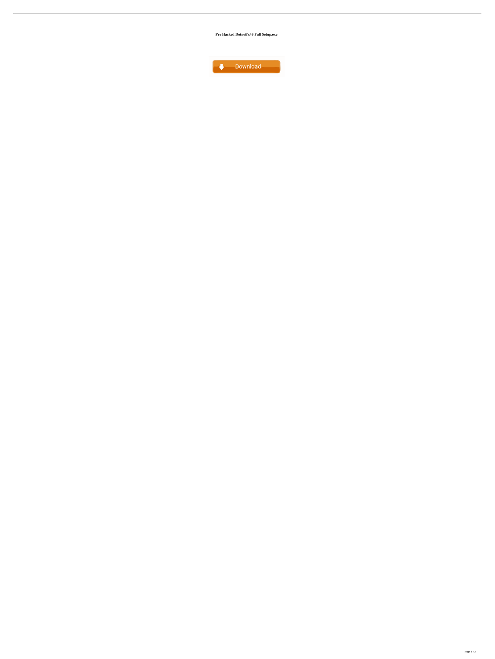**Pre Hacked Dotnetfx45 Full Setup.exe**